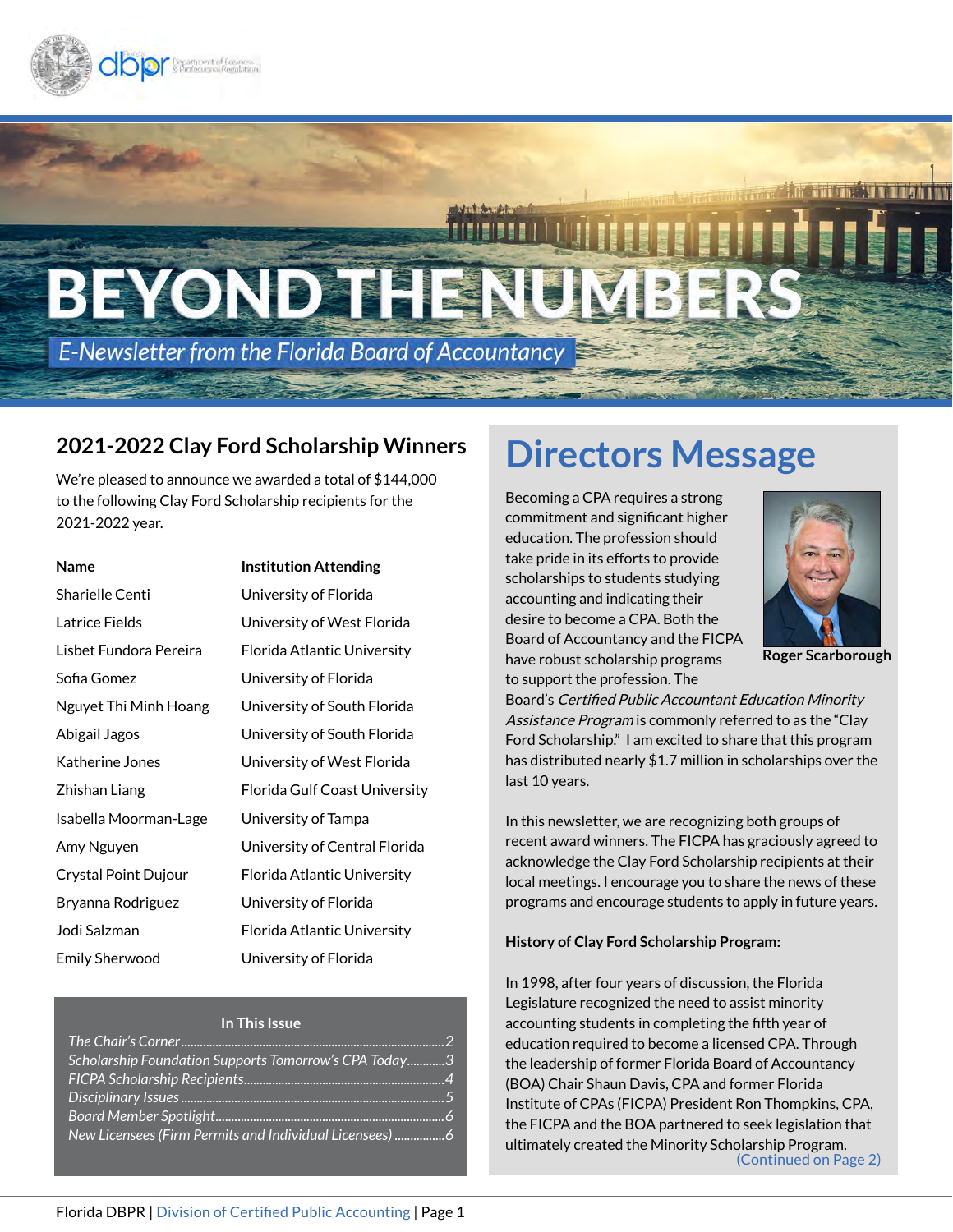

# BEYOND THE

**E-Newsletter from the Florida Board of Accountancy** 

## **2021-2022 Clay Ford Scholarship Winners**

We're pleased to announce we awarded a total of \$144,000 to the following Clay Ford Scholarship recipients for the 2021-2022 year.

| <b>Name</b>            | <b>Institution Attending</b>  |
|------------------------|-------------------------------|
| Sharielle Centi        | University of Florida         |
| Latrice Fields         | University of West Florida    |
| Lisbet Fundora Pereira | Florida Atlantic University   |
| Sofia Gomez            | University of Florida         |
| Nguyet Thi Minh Hoang  | University of South Florida   |
| Abigail Jagos          | University of South Florida   |
| Katherine Jones        | University of West Florida    |
| Zhishan Liang          | Florida Gulf Coast University |
| Isabella Moorman-Lage  | University of Tampa           |
| Amy Nguyen             | University of Central Florida |
| Crystal Point Dujour   | Florida Atlantic University   |
| Bryanna Rodriguez      | University of Florida         |
| Jodi Salzman           | Florida Atlantic University   |
| Emily Sherwood         | University of Florida         |
|                        |                               |

#### **In This Issue**

| Scholarship Foundation Supports Tomorrow's CPA Today3 |  |
|-------------------------------------------------------|--|
|                                                       |  |
|                                                       |  |
|                                                       |  |
| New Licensees (Firm Permits and Individual Licensees) |  |

# **Directors Message**

Becoming a CPA requires a strong commitment and significant higher education. The profession should take pride in its efforts to provide scholarships to students studying accounting and indicating their desire to become a CPA. Both the Board of Accountancy and the FICPA have robust scholarship programs to support the profession. The



**Roger Scarborough**

Board's Certified Public Accountant Education Minority Assistance Program is commonly referred to as the "Clay" Ford Scholarship." I am excited to share that this program has distributed nearly \$1.7 million in scholarships over the last 10 years.

In this newsletter, we are recognizing both groups of recent award winners. The FICPA has graciously agreed to acknowledge the Clay Ford Scholarship recipients at their local meetings. I encourage you to share the news of these programs and encourage students to apply in future years.

#### **History of Clay Ford Scholarship Program:**

In 1998, after four years of discussion, the Florida Legislature recognized the need to assist minority accounting students in completing the fifth year of education required to become a licensed CPA. Through the leadership of former Florida Board of Accountancy (BOA) Chair Shaun Davis, CPA and former Florida Institute of CPAs (FICPA) President Ron Thompkins, CPA, the FICPA and the BOA partnered to seek legislation that ultimately created the Minority Scholarship Program. (Continued on Page 2)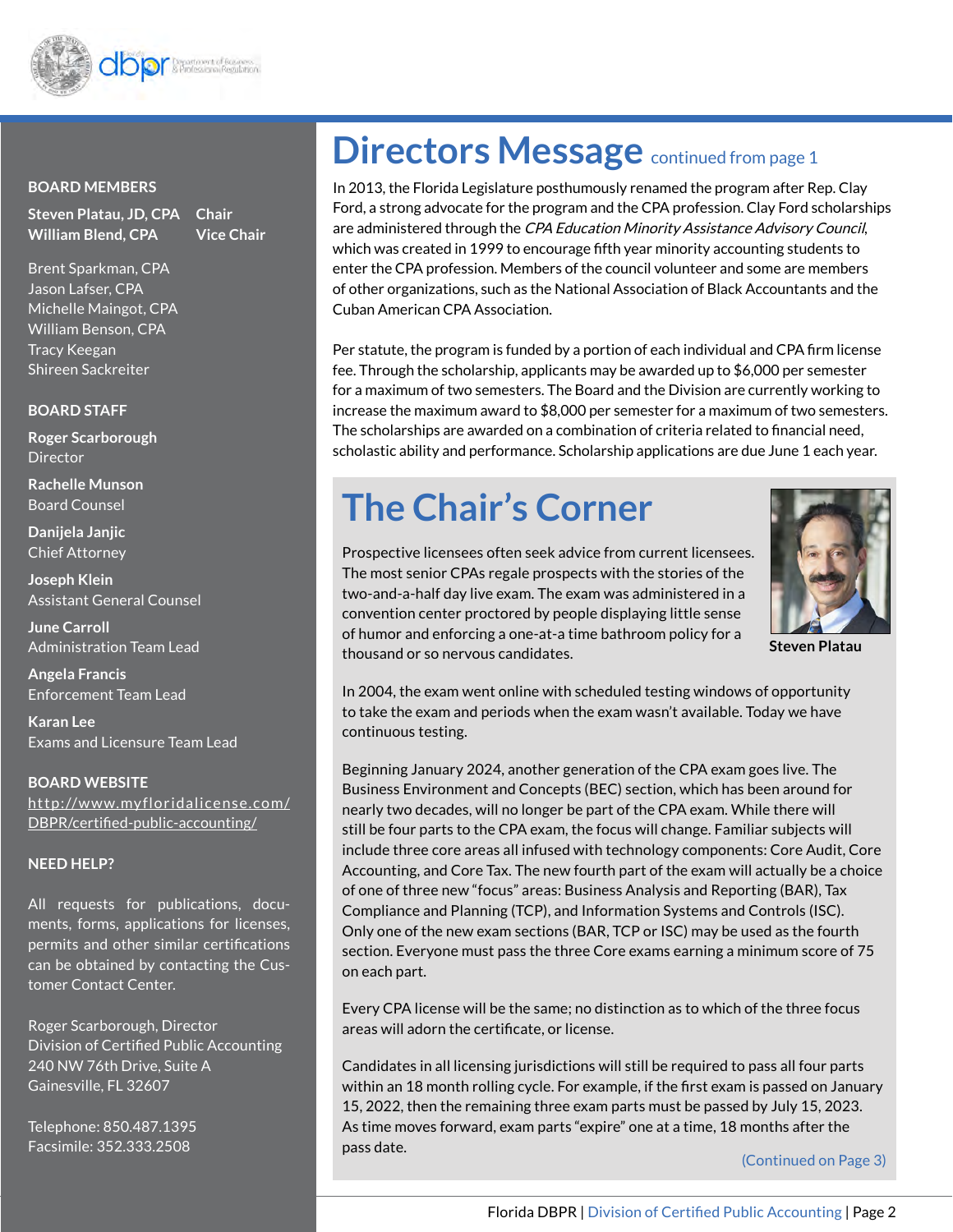

#### **BOARD MEMBERS**

**Steven Platau, JD, CPA Chair William Blend, CPA Vice Chair**

Brent Sparkman, CPA Jason Lafser, CPA Michelle Maingot, CPA William Benson, CPA Tracy Keegan Shireen Sackreiter

#### **BOARD STAFF**

**Roger Scarborough Director** 

**Rachelle Munson** Board Counsel

**Danijela Janjic**  Chief Attorney

**Joseph Klein**  Assistant General Counsel

**June Carroll**  Administration Team Lead

**Angela Francis**  Enforcement Team Lead

**Karan Lee**  Exams and Licensure Team Lead

**BOARD WEBSITE** [http://www.myfloridalicense.com/](http://www.myfloridalicense.com/DBPR/certified-public-accounting/) [DBPR/certified-public-accounting/](http://www.myfloridalicense.com/DBPR/certified-public-accounting/)

#### **NEED HELP?**

All requests for publications, documents, forms, applications for licenses, permits and other similar certifications can be obtained by contacting the Customer Contact Center.

Roger Scarborough, Director Division of Certified Public Accounting 240 NW 76th Drive, Suite A Gainesville, FL 32607

Telephone: 850.487.1395 Facsimile: 352.333.2508

# **Directors Message** continued from page 1

In 2013, the Florida Legislature posthumously renamed the program after Rep. Clay Ford, a strong advocate for the program and the CPA profession. Clay Ford scholarships are administered through the CPA Education Minority Assistance Advisory Council, which was created in 1999 to encourage fifth year minority accounting students to enter the CPA profession. Members of the council volunteer and some are members of other organizations, such as the National Association of Black Accountants and the Cuban American CPA Association.

Per statute, the program is funded by a portion of each individual and CPA firm license fee. Through the scholarship, applicants may be awarded up to \$6,000 per semester for a maximum of two semesters. The Board and the Division are currently working to increase the maximum award to \$8,000 per semester for a maximum of two semesters. The scholarships are awarded on a combination of criteria related to financial need, scholastic ability and performance. Scholarship applications are due June 1 each year.

# **The Chair's Corner**



**Steven Platau**

Prospective licensees often seek advice from current licensees. The most senior CPAs regale prospects with the stories of the two-and-a-half day live exam. The exam was administered in a convention center proctored by people displaying little sense of humor and enforcing a one-at-a time bathroom policy for a thousand or so nervous candidates.

In 2004, the exam went online with scheduled testing windows of opportunity to take the exam and periods when the exam wasn't available. Today we have continuous testing.

Beginning January 2024, another generation of the CPA exam goes live. The Business Environment and Concepts (BEC) section, which has been around for nearly two decades, will no longer be part of the CPA exam. While there will still be four parts to the CPA exam, the focus will change. Familiar subjects will include three core areas all infused with technology components: Core Audit, Core Accounting, and Core Tax. The new fourth part of the exam will actually be a choice of one of three new "focus" areas: Business Analysis and Reporting (BAR), Tax Compliance and Planning (TCP), and Information Systems and Controls (ISC). Only one of the new exam sections (BAR, TCP or ISC) may be used as the fourth section. Everyone must pass the three Core exams earning a minimum score of 75 on each part.

Every CPA license will be the same; no distinction as to which of the three focus areas will adorn the certificate, or license.

Candidates in all licensing jurisdictions will still be required to pass all four parts within an 18 month rolling cycle. For example, if the first exam is passed on January 15, 2022, then the remaining three exam parts must be passed by July 15, 2023. As time moves forward, exam parts "expire" one at a time, 18 months after the pass date.

(Continued on Page 3)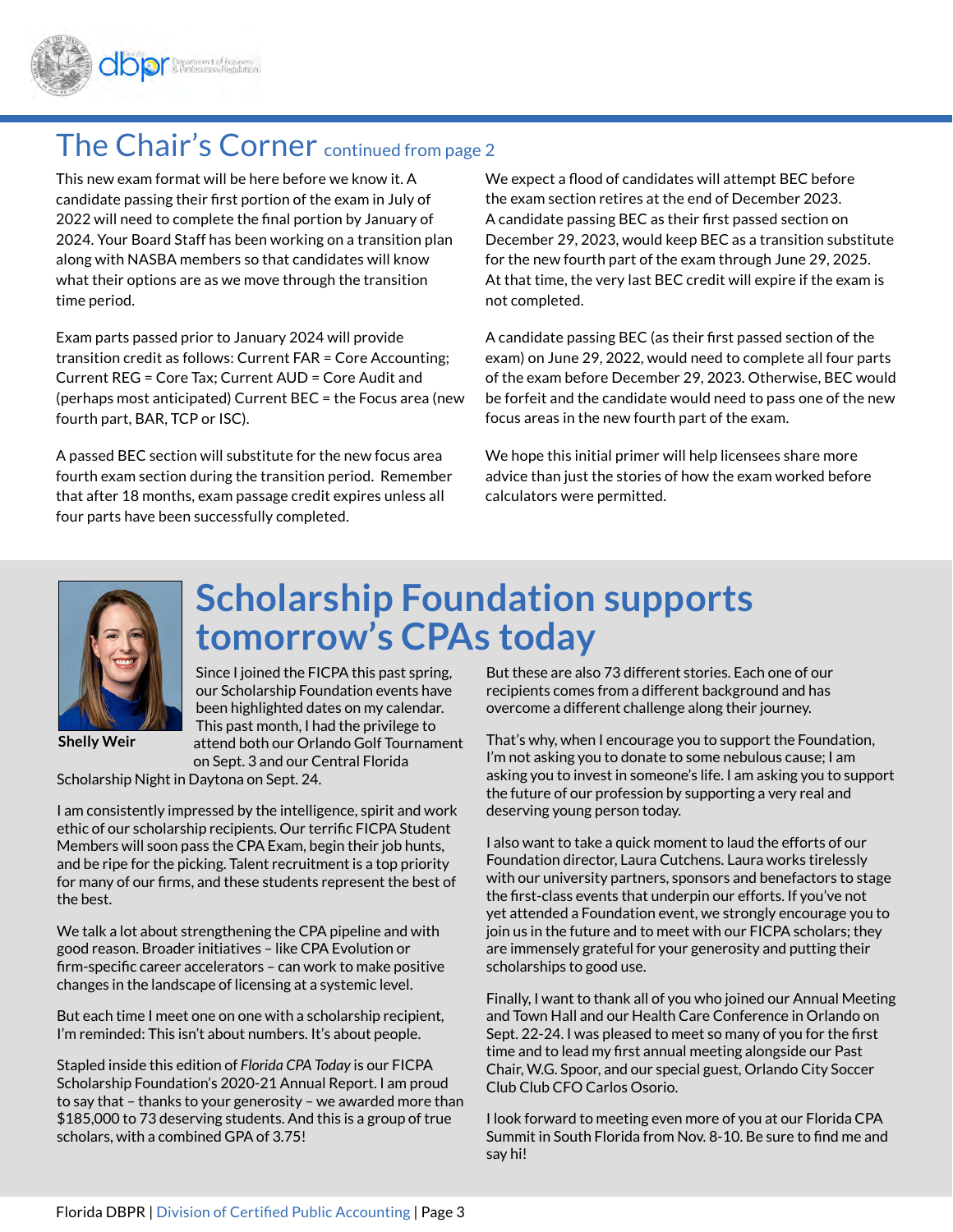

## The Chair's Corner continued from page 2

This new exam format will be here before we know it. A candidate passing their first portion of the exam in July of 2022 will need to complete the final portion by January of 2024. Your Board Staff has been working on a transition plan along with NASBA members so that candidates will know what their options are as we move through the transition time period.

Exam parts passed prior to January 2024 will provide transition credit as follows: Current FAR = Core Accounting; Current REG = Core Tax; Current AUD = Core Audit and (perhaps most anticipated) Current BEC = the Focus area (new fourth part, BAR, TCP or ISC).

A passed BEC section will substitute for the new focus area fourth exam section during the transition period. Remember that after 18 months, exam passage credit expires unless all four parts have been successfully completed.

We expect a flood of candidates will attempt BEC before the exam section retires at the end of December 2023. A candidate passing BEC as their first passed section on December 29, 2023, would keep BEC as a transition substitute for the new fourth part of the exam through June 29, 2025. At that time, the very last BEC credit will expire if the exam is not completed.

A candidate passing BEC (as their first passed section of the exam) on June 29, 2022, would need to complete all four parts of the exam before December 29, 2023. Otherwise, BEC would be forfeit and the candidate would need to pass one of the new focus areas in the new fourth part of the exam.

We hope this initial primer will help licensees share more advice than just the stories of how the exam worked before calculators were permitted.



# **Scholarship Foundation supports tomorrow's CPAs today**

Since I joined the FICPA this past spring, our Scholarship Foundation events have been highlighted dates on my calendar. This past month, I had the privilege to attend both our Orlando Golf Tournament on Sept. 3 and our Central Florida

Scholarship Night in Daytona on Sept. 24.

I am consistently impressed by the intelligence, spirit and work ethic of our scholarship recipients. Our terrific FICPA Student Members will soon pass the CPA Exam, begin their job hunts, and be ripe for the picking. Talent recruitment is a top priority for many of our firms, and these students represent the best of the best.

We talk a lot about strengthening the CPA pipeline and with good reason. Broader initiatives – like CPA Evolution or firm-specific career accelerators – can work to make positive changes in the landscape of licensing at a systemic level.

But each time I meet one on one with a scholarship recipient, I'm reminded: This isn't about numbers. It's about people.

Stapled inside this edition of *Florida CPA Today* is our FICPA Scholarship Foundation's 2020-21 Annual Report. I am proud to say that – thanks to your generosity – we awarded more than \$185,000 to 73 deserving students. And this is a group of true scholars, with a combined GPA of 3.75!

But these are also 73 different stories. Each one of our recipients comes from a different background and has overcome a different challenge along their journey.

That's why, when I encourage you to support the Foundation, I'm not asking you to donate to some nebulous cause; I am asking you to invest in someone's life. I am asking you to support the future of our profession by supporting a very real and deserving young person today.

I also want to take a quick moment to laud the efforts of our Foundation director, Laura Cutchens. Laura works tirelessly with our university partners, sponsors and benefactors to stage the first-class events that underpin our efforts. If you've not yet attended a Foundation event, we strongly encourage you to join us in the future and to meet with our FICPA scholars; they are immensely grateful for your generosity and putting their scholarships to good use.

Finally, I want to thank all of you who joined our Annual Meeting and Town Hall and our Health Care Conference in Orlando on Sept. 22-24. I was pleased to meet so many of you for the first time and to lead my first annual meeting alongside our Past Chair, W.G. Spoor, and our special guest, Orlando City Soccer Club Club CFO Carlos Osorio.

I look forward to meeting even more of you at our Florida CPA Summit in South Florida from Nov. 8-10. Be sure to find me and say hi!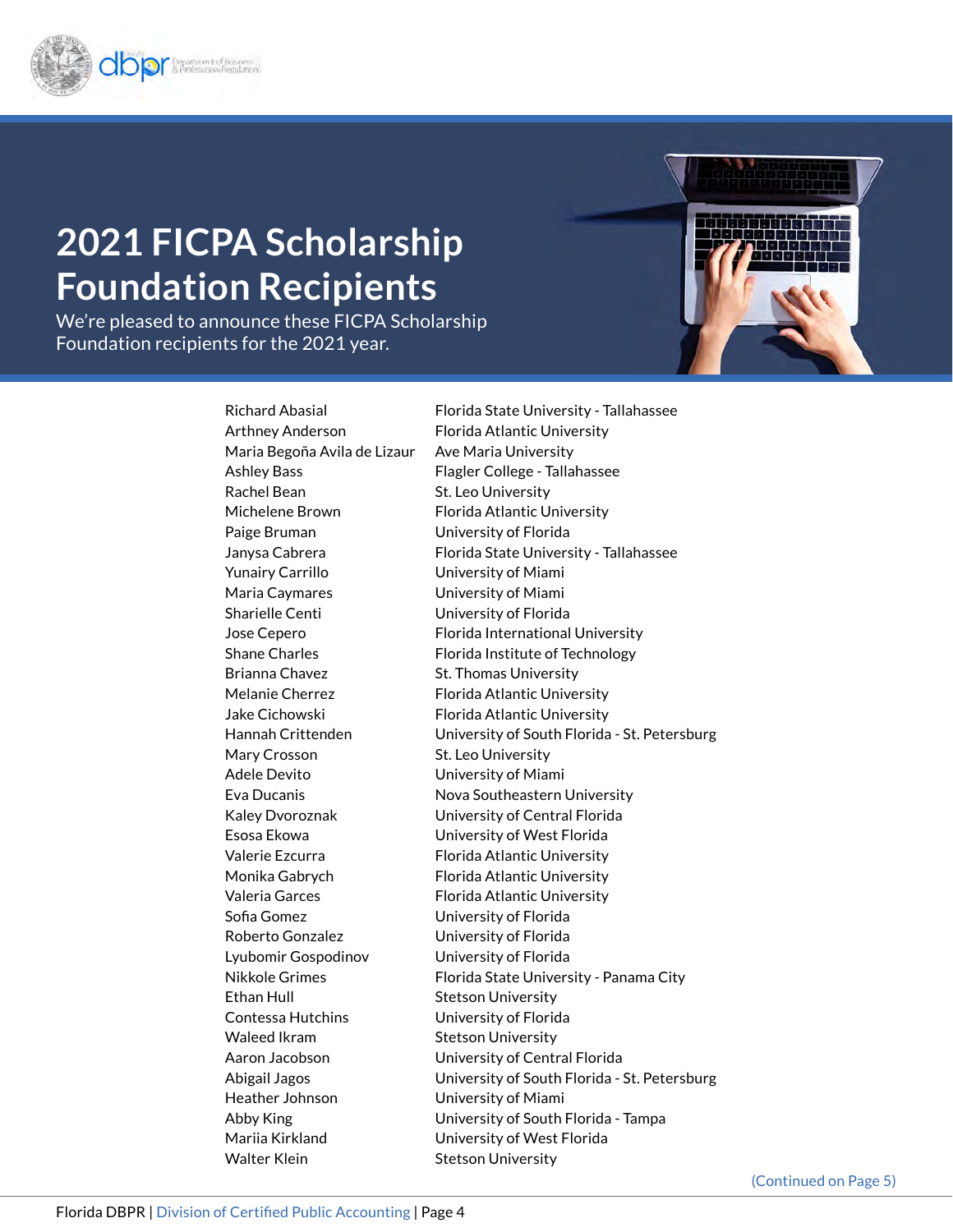

# **2021 FICPA Scholarship Foundation Recipients**

We're pleased to announce these FICPA Scholarship Foundation recipients for the 2021 year.

> Maria Begoña Avila de Lizaur Ave Maria University Rachel Bean St. Leo University Paige Bruman University of Florida Yunairy Carrillo University of Miami Maria Caymares University of Miami Sharielle Centi University of Florida Brianna Chavez St. Thomas University Mary Crosson St. Leo University Adele Devito University of Miami Sofia Gomez University of Florida Roberto Gonzalez University of Florida Lyubomir Gospodinov University of Florida Ethan Hull Stetson University Contessa Hutchins University of Florida Waleed Ikram Stetson University Heather Johnson University of Miami Walter Klein Stetson University

Richard Abasial Florida State University - Tallahassee Arthney Anderson Florida Atlantic University Ashley Bass Flagler College - Tallahassee Michelene Brown Florida Atlantic University Janysa Cabrera Florida State University - Tallahassee Jose Cepero Florida International University Shane Charles Florida Institute of Technology Melanie Cherrez Florida Atlantic University Jake Cichowski Florida Atlantic University Hannah Crittenden University of South Florida - St. Petersburg Eva Ducanis **Nova Southeastern University** Kaley Dvoroznak University of Central Florida Esosa Ekowa University of West Florida Valerie Ezcurra Florida Atlantic University Monika Gabrych Florida Atlantic University Valeria Garces Florida Atlantic University Nikkole Grimes Florida State University - Panama City Aaron Jacobson University of Central Florida Abigail Jagos University of South Florida - St. Petersburg Abby King University of South Florida - Tampa Mariia Kirkland University of West Florida

(Continued on Page 5)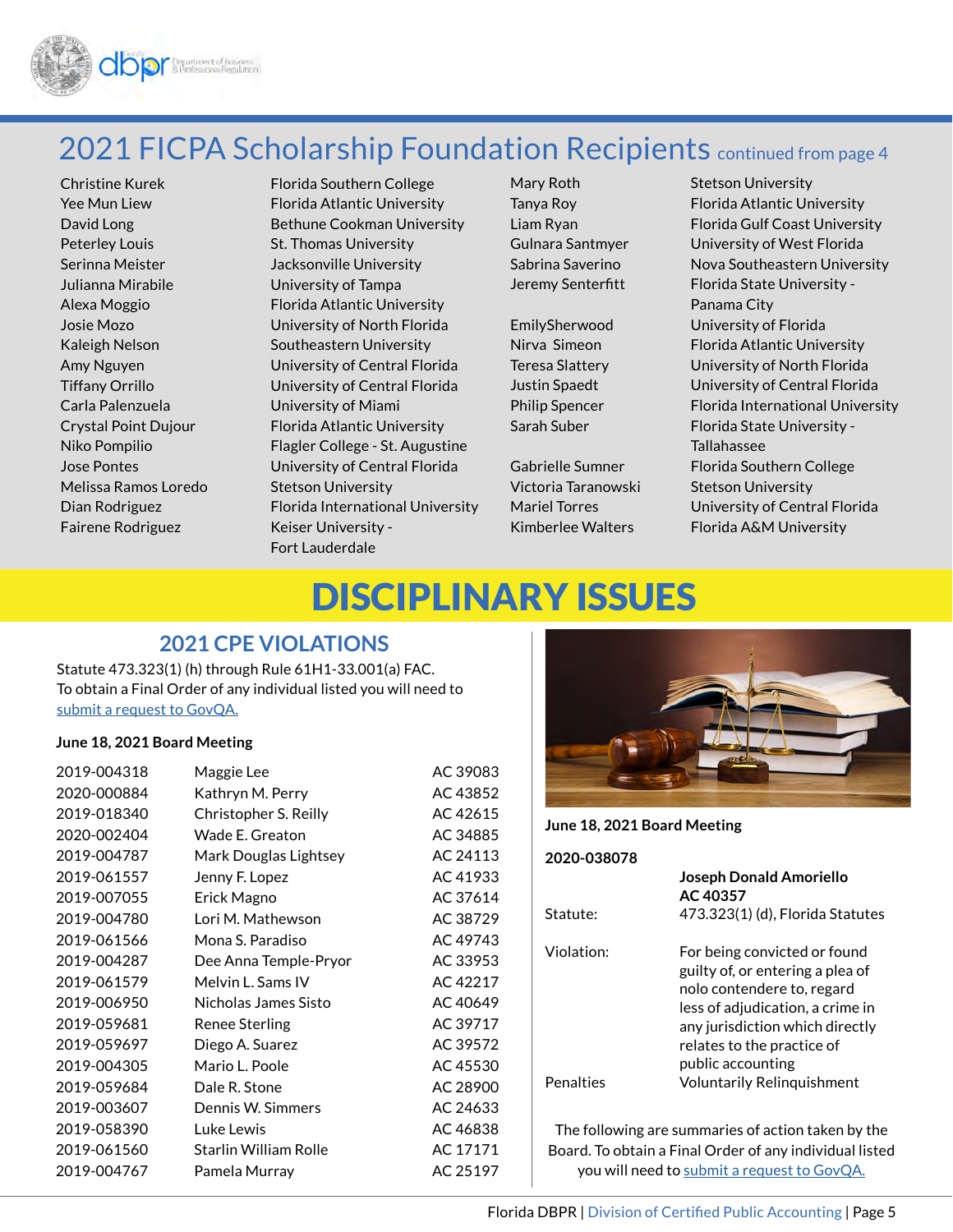

## 2021 FICPA Scholarship Foundation Recipients continued from page 4

Peterley Louis St. Thomas University Julianna Mirabile University of Tampa Carla Palenzuela University of Miami Melissa Ramos Loredo Stetson University Fairene Rodriguez Keiser University -

Christine Kurek Florida Southern College Yee Mun Liew Florida Atlantic University David Long Bethune Cookman University Serinna Meister **Jacksonville University** Alexa Moggio Florida Atlantic University Josie Mozo University of North Florida Kaleigh Nelson Southeastern University Amy Nguyen University of Central Florida Tiffany Orrillo University of Central Florida Crystal Point Dujour Florida Atlantic University Niko Pompilio Flagler College - St. Augustine Jose Pontes University of Central Florida Dian Rodriguez Florida International University Fort Lauderdale

Victoria Taranowski Stetson University

Mary Roth Stetson University Tanya Roy Florida Atlantic University Liam Ryan Florida Gulf Coast University Gulnara Santmyer University of West Florida Sabrina Saverino Nova Southeastern University Jeremy Senterfitt Florida State University -Panama City EmilySherwood University of Florida Nirva Simeon Florida Atlantic University Teresa Slattery University of North Florida Justin Spaedt University of Central Florida Philip Spencer Florida International University Sarah Suber Florida State University -Tallahassee Gabrielle Sumner Florida Southern College Mariel Torres University of Central Florida Kimberlee Walters Florida A&M University

# DISCIPLINARY ISSUES

#### **2021 CPE VIOLATIONS**

Statute 473.323(1) (h) through Rule 61H1-33.001(a) FAC. To obtain a Final Order of any individual listed you will need to [submit a request to GovQA](http://www.dbpr.state.fl.us/govqa/).

#### **June 18, 2021 Board Meeting**

| 2019-004318 | Maggie Lee                   | AC 39083 |
|-------------|------------------------------|----------|
| 2020-000884 | Kathryn M. Perry             | AC 43852 |
| 2019-018340 | Christopher S. Reilly        | AC 42615 |
| 2020-002404 | Wade E. Greaton              | AC 34885 |
| 2019-004787 | Mark Douglas Lightsey        | AC 24113 |
| 2019-061557 | Jenny F. Lopez               | AC 41933 |
| 2019-007055 | Erick Magno                  | AC 37614 |
| 2019-004780 | Lori M. Mathewson            | AC 38729 |
| 2019-061566 | Mona S. Paradiso             | AC 49743 |
| 2019-004287 | Dee Anna Temple-Pryor        | AC 33953 |
| 2019-061579 | Melvin L. Sams IV            | AC 42217 |
| 2019-006950 | Nicholas James Sisto         | AC 40649 |
| 2019-059681 | <b>Renee Sterling</b>        | AC 39717 |
| 2019-059697 | Diego A. Suarez              | AC 39572 |
| 2019-004305 | Mario L. Poole               | AC 45530 |
| 2019-059684 | Dale R. Stone                | AC 28900 |
| 2019-003607 | Dennis W. Simmers            | AC 24633 |
| 2019-058390 | Luke Lewis                   | AC 46838 |
| 2019-061560 | <b>Starlin William Rolle</b> | AC 17171 |
| 2019-004767 | Pamela Murrav                | AC 25197 |



**June 18, 2021 Board Meeting**

| 2020-038078            |                                                                                                                                                                                                                          |
|------------------------|--------------------------------------------------------------------------------------------------------------------------------------------------------------------------------------------------------------------------|
|                        | Joseph Donald Amoriello<br>AC 40357                                                                                                                                                                                      |
| Statute:               | 473.323(1) (d), Florida Statutes                                                                                                                                                                                         |
| Violation <sup>.</sup> | For being convicted or found<br>guilty of, or entering a plea of<br>nolo contendere to, regard<br>less of adjudication, a crime in<br>any jurisdiction which directly<br>relates to the practice of<br>public accounting |
| Penalties              | <b>Voluntarily Relinguishment</b>                                                                                                                                                                                        |
|                        |                                                                                                                                                                                                                          |

The following are summaries of action taken by the Board. To obtain a Final Order of any individual listed you will need to [submit a request to GovQA](http://www.dbpr.state.fl.us/govqa/).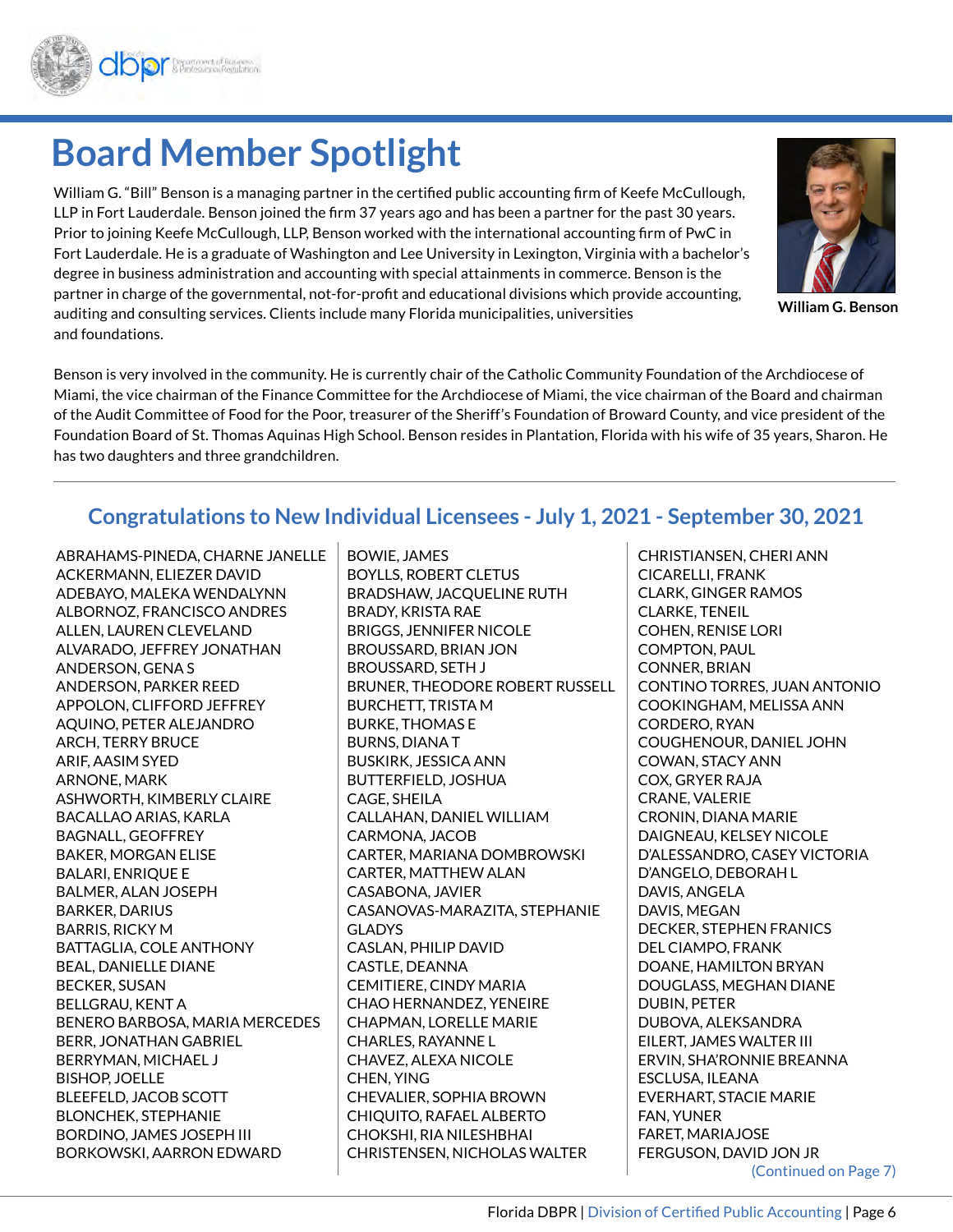

# **Board Member Spotlight**

William G. "Bill" Benson is a managing partner in the certified public accounting firm of Keefe McCullough, LLP in Fort Lauderdale. Benson joined the firm 37 years ago and has been a partner for the past 30 years. Prior to joining Keefe McCullough, LLP, Benson worked with the international accounting firm of PwC in Fort Lauderdale. He is a graduate of Washington and Lee University in Lexington, Virginia with a bachelor's degree in business administration and accounting with special attainments in commerce. Benson is the partner in charge of the governmental, not-for-profit and educational divisions which provide accounting, auditing and consulting services. Clients include many Florida municipalities, universities and foundations.

Benson is very involved in the community. He is currently chair of the Catholic Community Foundation of the Archdiocese of Miami, the vice chairman of the Finance Committee for the Archdiocese of Miami, the vice chairman of the Board and chairman of the Audit Committee of Food for the Poor, treasurer of the Sheriff's Foundation of Broward County, and vice president of the Foundation Board of St. Thomas Aquinas High School. Benson resides in Plantation, Florida with his wife of 35 years, Sharon. He has two daughters and three grandchildren.

## **Congratulations to New Individual Licensees - July 1, 2021 - September 30, 2021**

ABRAHAMS-PINEDA, CHARNE JANELLE ACKERMANN, ELIEZER DAVID ADEBAYO, MALEKA WENDALYNN ALBORNOZ, FRANCISCO ANDRES ALLEN, LAUREN CLEVELAND ALVARADO, JEFFREY JONATHAN ANDERSON, GENA S ANDERSON, PARKER REED APPOLON, CLIFFORD JEFFREY AQUINO, PETER ALEJANDRO ARCH, TERRY BRUCE ARIF, AASIM SYED ARNONE, MARK ASHWORTH, KIMBERLY CLAIRE BACALLAO ARIAS, KARLA BAGNALL, GEOFFREY BAKER, MORGAN ELISE BALARI, ENRIQUE E BALMER, ALAN JOSEPH BARKER, DARIUS BARRIS, RICKY M BATTAGLIA, COLE ANTHONY BEAL, DANIELLE DIANE BECKER, SUSAN BELLGRAU, KENT A BENERO BARBOSA, MARIA MERCEDES BERR, JONATHAN GABRIEL BERRYMAN, MICHAEL J BISHOP, JOELLE BLEEFELD, JACOB SCOTT BLONCHEK, STEPHANIE BORDINO, JAMES JOSEPH III BORKOWSKI, AARRON EDWARD

BOWIE, JAMES BOYLLS, ROBERT CLETUS BRADSHAW, JACQUELINE RUTH BRADY, KRISTA RAE BRIGGS, JENNIFER NICOLE BROUSSARD, BRIAN JON BROUSSARD, SETH J BRUNER, THEODORE ROBERT RUSSELL BURCHETT, TRISTA M BURKE, THOMAS E BURNS, DIANA T BUSKIRK, JESSICA ANN BUTTERFIELD, JOSHUA CAGE, SHEILA CALLAHAN, DANIEL WILLIAM CARMONA, JACOB CARTER, MARIANA DOMBROWSKI CARTER, MATTHEW ALAN CASABONA, JAVIER CASANOVAS-MARAZITA, STEPHANIE GLADYS CASLAN, PHILIP DAVID CASTLE, DEANNA CEMITIERE, CINDY MARIA CHAO HERNANDEZ, YENEIRE CHAPMAN, LORELLE MARIE CHARLES, RAYANNE L CHAVEZ, ALEXA NICOLE CHEN, YING CHEVALIER, SOPHIA BROWN CHIQUITO, RAFAEL ALBERTO CHOKSHI, RIA NILESHBHAI CHRISTENSEN, NICHOLAS WALTER

CHRISTIANSEN, CHERI ANN CICARELLI, FRANK CLARK, GINGER RAMOS CLARKE, TENEIL COHEN, RENISE LORI COMPTON, PAUL CONNER, BRIAN CONTINO TORRES, JUAN ANTONIO COOKINGHAM, MELISSA ANN CORDERO, RYAN COUGHENOUR, DANIEL JOHN COWAN, STACY ANN COX, GRYER RAJA CRANE, VALERIE CRONIN, DIANA MARIE DAIGNEAU, KELSEY NICOLE D'ALESSANDRO, CASEY VICTORIA D'ANGELO, DEBORAH L DAVIS, ANGELA DAVIS, MEGAN DECKER, STEPHEN FRANICS DEL CIAMPO, FRANK DOANE, HAMILTON BRYAN DOUGLASS, MEGHAN DIANE DUBIN, PETER DUBOVA, ALEKSANDRA EILERT, JAMES WALTER III ERVIN, SHA'RONNIE BREANNA ESCLUSA, ILEANA EVERHART, STACIE MARIE FAN, YUNER FARET, MARIAJOSE FERGUSON, DAVID JON JR (Continued on Page 7)



**William G. Benson**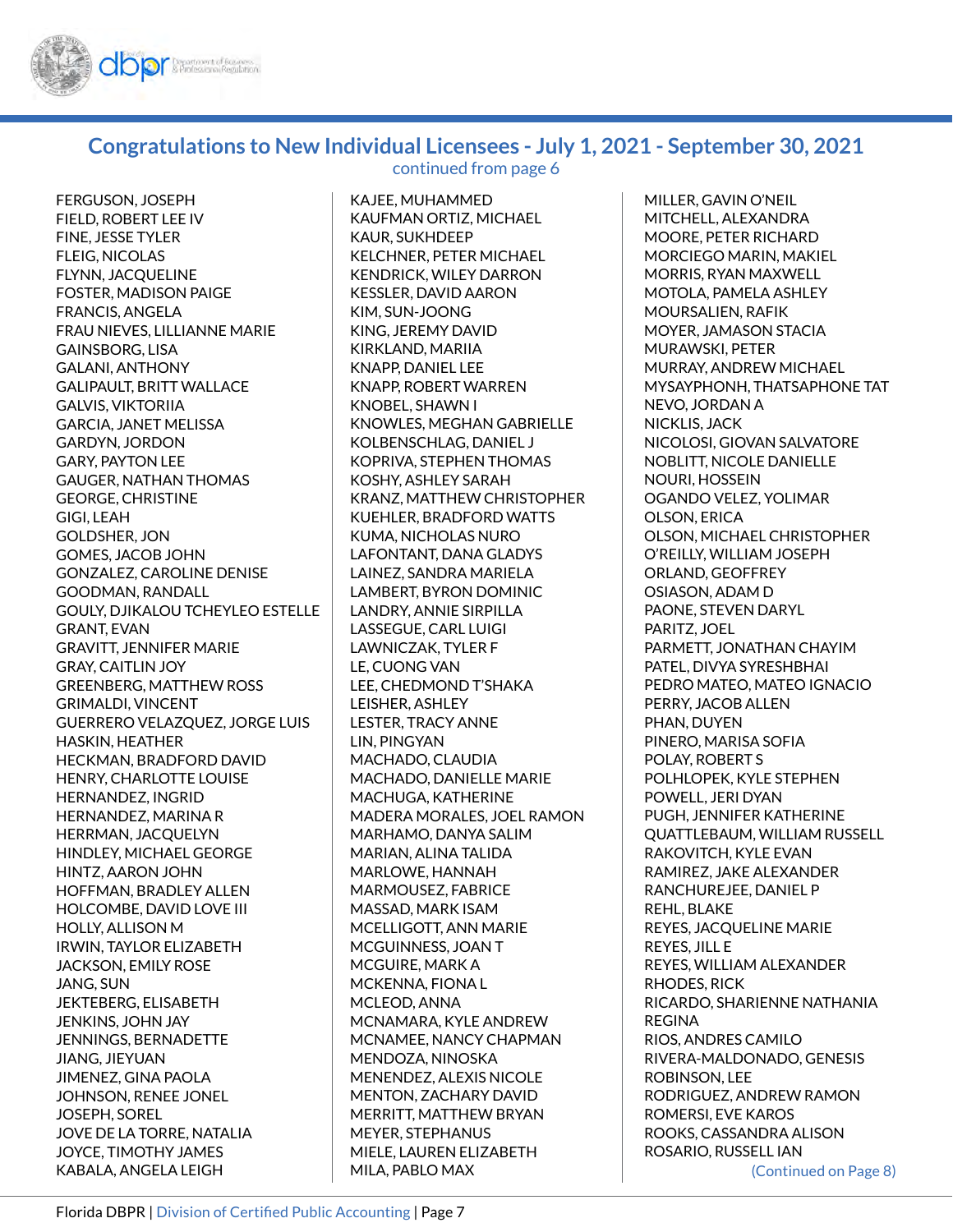

#### **Congratulations to New Individual Licensees - July 1, 2021 - September 30, 2021** continued from page 6

FERGUSON, JOSEPH FIELD, ROBERT LEE IV FINE, JESSE TYLER FLEIG, NICOLAS FLYNN, JACQUELINE FOSTER, MADISON PAIGE FRANCIS, ANGELA FRAU NIEVES, LILLIANNE MARIE GAINSBORG, LISA GALANI, ANTHONY GALIPAULT, BRITT WALLACE GALVIS, VIKTORIIA GARCIA, JANET MELISSA GARDYN, JORDON GARY, PAYTON LEE GAUGER, NATHAN THOMAS GEORGE, CHRISTINE GIGI, LEAH GOLDSHER, JON GOMES, JACOB JOHN GONZALEZ, CAROLINE DENISE GOODMAN, RANDALL GOULY, DJIKALOU TCHEYLEO ESTELLE GRANT, EVAN GRAVITT, JENNIFER MARIE GRAY, CAITLIN JOY GREENBERG, MATTHEW ROSS GRIMALDI, VINCENT GUERRERO VELAZQUEZ, JORGE LUIS HASKIN, HEATHER HECKMAN, BRADFORD DAVID HENRY, CHARLOTTE LOUISE HERNANDEZ, INGRID HERNANDEZ, MARINA R HERRMAN, JACQUELYN HINDLEY, MICHAEL GEORGE HINTZ, AARON JOHN HOFFMAN, BRADLEY ALLEN HOLCOMBE, DAVID LOVE III HOLLY, ALLISON M IRWIN, TAYLOR ELIZABETH JACKSON, EMILY ROSE JANG, SUN JEKTEBERG, ELISABETH JENKINS, JOHN JAY JENNINGS, BERNADETTE JIANG, JIEYUAN JIMENEZ, GINA PAOLA JOHNSON, RENEE JONEL JOSEPH, SOREL JOVE DE LA TORRE, NATALIA JOYCE, TIMOTHY JAMES KABALA, ANGELA LEIGH

KAJEE, MUHAMMED KAUFMAN ORTIZ, MICHAEL KAUR, SUKHDEEP KELCHNER, PETER MICHAEL KENDRICK, WILEY DARRON KESSLER, DAVID AARON KIM, SUN-JOONG KING, JEREMY DAVID KIRKLAND, MARIIA KNAPP, DANIEL LEE KNAPP, ROBERT WARREN KNOBEL, SHAWN I KNOWLES, MEGHAN GABRIELLE KOLBENSCHLAG, DANIEL J KOPRIVA, STEPHEN THOMAS KOSHY, ASHLEY SARAH KRANZ, MATTHEW CHRISTOPHER KUEHLER, BRADFORD WATTS KUMA, NICHOLAS NURO LAFONTANT, DANA GLADYS LAINEZ, SANDRA MARIELA LAMBERT, BYRON DOMINIC LANDRY, ANNIE SIRPILLA LASSEGUE, CARL LUIGI LAWNICZAK, TYLER F LE, CUONG VAN LEE, CHEDMOND T'SHAKA LEISHER, ASHLEY LESTER, TRACY ANNE LIN, PINGYAN MACHADO, CLAUDIA MACHADO, DANIELLE MARIE MACHUGA, KATHERINE MADERA MORALES, JOEL RAMON MARHAMO, DANYA SALIM MARIAN, ALINA TALIDA MARLOWE, HANNAH MARMOUSEZ, FABRICE MASSAD, MARK ISAM MCELLIGOTT, ANN MARIE MCGUINNESS, JOAN T MCGUIRE, MARK A MCKENNA, FIONA L MCLEOD, ANNA MCNAMARA, KYLE ANDREW MCNAMEE, NANCY CHAPMAN MENDOZA, NINOSKA MENENDEZ, ALEXIS NICOLE MENTON, ZACHARY DAVID MERRITT, MATTHEW BRYAN MEYER, STEPHANUS MIELE, LAUREN ELIZABETH MILA, PABLO MAX

(Continued on Page 8) MILLER, GAVIN O'NEIL MITCHELL, ALEXANDRA MOORE, PETER RICHARD MORCIEGO MARIN, MAKIEL MORRIS, RYAN MAXWELL MOTOLA, PAMELA ASHLEY MOURSALIEN, RAFIK MOYER, JAMASON STACIA MURAWSKI, PETER MURRAY, ANDREW MICHAEL MYSAYPHONH, THATSAPHONE TAT NEVO, JORDAN A NICKLIS, JACK NICOLOSI, GIOVAN SALVATORE NOBLITT, NICOLE DANIELLE NOURI, HOSSEIN OGANDO VELEZ, YOLIMAR OLSON, ERICA OLSON, MICHAEL CHRISTOPHER O'REILLY, WILLIAM JOSEPH ORLAND, GEOFFREY OSIASON, ADAM D PAONE, STEVEN DARYL PARITZ, JOEL PARMETT, JONATHAN CHAYIM PATEL, DIVYA SYRESHBHAI PEDRO MATEO, MATEO IGNACIO PERRY, JACOB ALLEN PHAN, DUYEN PINERO, MARISA SOFIA POLAY, ROBERT S POLHLOPEK, KYLE STEPHEN POWELL, JERI DYAN PUGH, JENNIFER KATHERINE QUATTLEBAUM, WILLIAM RUSSELL RAKOVITCH, KYLE EVAN RAMIREZ, JAKE ALEXANDER RANCHUREJEE, DANIEL P REHL, BLAKE REYES, JACQUELINE MARIE REYES, JILL E REYES, WILLIAM ALEXANDER RHODES, RICK RICARDO, SHARIENNE NATHANIA REGINA RIOS, ANDRES CAMILO RIVERA-MALDONADO, GENESIS ROBINSON, LEE RODRIGUEZ, ANDREW RAMON ROMERSI, EVE KAROS ROOKS, CASSANDRA ALISON ROSARIO, RUSSELL IAN